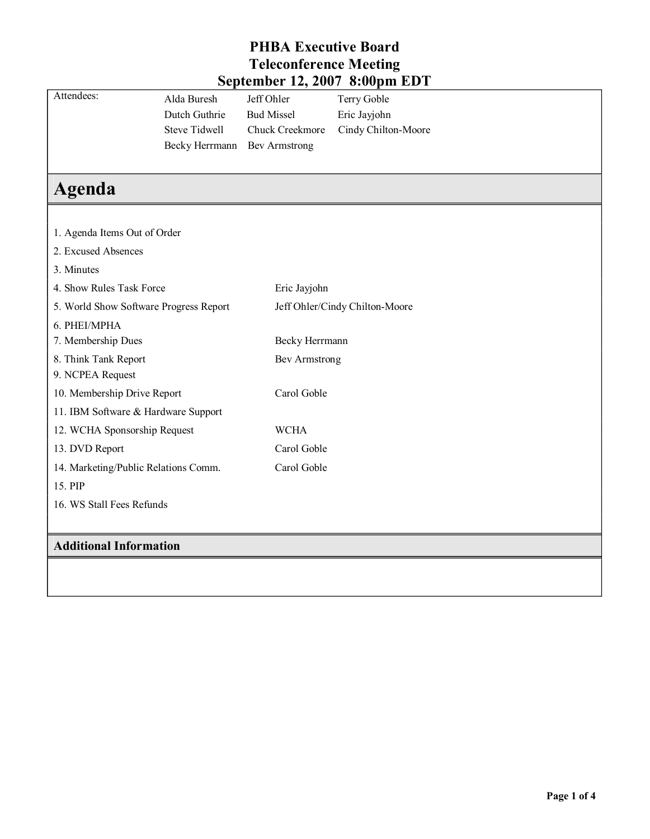|                                        |                      |                                | $\overline{S}$ chichidei 12, 2007 o. vopin ED I |  |  |
|----------------------------------------|----------------------|--------------------------------|-------------------------------------------------|--|--|
| Attendees:                             | Alda Buresh          | Jeff Ohler                     | Terry Goble                                     |  |  |
|                                        | Dutch Guthrie        | <b>Bud Missel</b>              | Eric Jayjohn                                    |  |  |
|                                        | <b>Steve Tidwell</b> | Chuck Creekmore                | Cindy Chilton-Moore                             |  |  |
|                                        | Becky Herrmann       | <b>Bev Armstrong</b>           |                                                 |  |  |
|                                        |                      |                                |                                                 |  |  |
| Agenda                                 |                      |                                |                                                 |  |  |
|                                        |                      |                                |                                                 |  |  |
| 1. Agenda Items Out of Order           |                      |                                |                                                 |  |  |
| 2. Excused Absences                    |                      |                                |                                                 |  |  |
| 3. Minutes                             |                      |                                |                                                 |  |  |
| 4. Show Rules Task Force               |                      | Eric Jayjohn                   |                                                 |  |  |
| 5. World Show Software Progress Report |                      | Jeff Ohler/Cindy Chilton-Moore |                                                 |  |  |
| 6. PHEI/MPHA                           |                      |                                |                                                 |  |  |
| 7. Membership Dues                     |                      | Becky Herrmann                 |                                                 |  |  |
| 8. Think Tank Report                   |                      | Bev Armstrong                  |                                                 |  |  |
| 9. NCPEA Request                       |                      |                                |                                                 |  |  |
| 10. Membership Drive Report            |                      | Carol Goble                    |                                                 |  |  |
| 11. IBM Software & Hardware Support    |                      |                                |                                                 |  |  |
| 12. WCHA Sponsorship Request           |                      | <b>WCHA</b>                    |                                                 |  |  |
| 13. DVD Report                         |                      | Carol Goble                    |                                                 |  |  |
| 14. Marketing/Public Relations Comm.   |                      | Carol Goble                    |                                                 |  |  |
| 15. PIP                                |                      |                                |                                                 |  |  |
| 16. WS Stall Fees Refunds              |                      |                                |                                                 |  |  |
|                                        |                      |                                |                                                 |  |  |
| <b>Additional Information</b>          |                      |                                |                                                 |  |  |
|                                        |                      |                                |                                                 |  |  |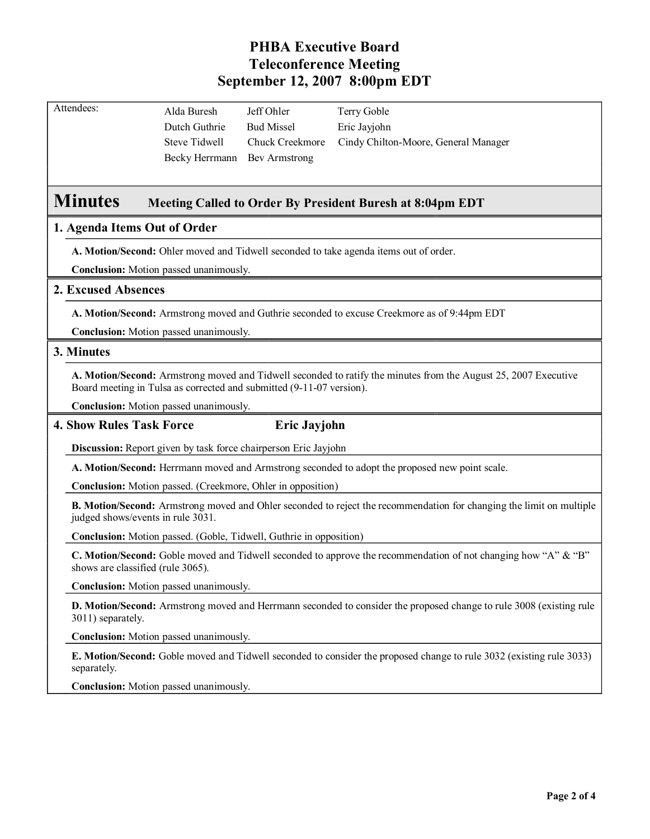| Attendees: | Alda Buresh                  | Jeff Ohler             | Terry Goble                          |
|------------|------------------------------|------------------------|--------------------------------------|
|            | Dutch Guthrie                | <b>Bud Missel</b>      | Eric Jayjohn                         |
|            | Steve Tidwell                | <b>Chuck Creekmore</b> | Cindy Chilton-Moore, General Manager |
|            | Becky Herrmann Bev Armstrong |                        |                                      |
|            |                              |                        |                                      |

# **Minutes Meeting Called to Order By President Buresh at 8:04pm EDT**

# **1. Agenda Items Out of Order**

**A. Motion/Second:** Ohler moved and Tidwell seconded to take agenda items out of order.

**Conclusion:** Motion passed unanimously.

# **2. Excused Absences**

**A. Motion/Second:** Armstrong moved and Guthrie seconded to excuse Creekmore as of 9:44pm EDT

**Conclusion:** Motion passed unanimously.

### **3. Minutes**

**A. Motion/Second:** Armstrong moved and Tidwell seconded to ratify the minutes from the August 25, 2007 Executive Board meeting in Tulsa as corrected and submitted (9-11-07 version).

**Conclusion:** Motion passed unanimously.

### **4. Show Rules Task Force Eric Jayjohn**

**Discussion:** Report given by task force chairperson Eric Jayjohn

**A. Motion/Second:** Herrmann moved and Armstrong seconded to adopt the proposed new point scale.

**Conclusion:** Motion passed. (Creekmore, Ohler in opposition)

**B. Motion/Second:** Armstrong moved and Ohler seconded to reject the recommendation for changing the limit on multiple judged shows/events in rule 3031.

**Conclusion:** Motion passed. (Goble, Tidwell, Guthrie in opposition)

**C. Motion/Second:** Goble moved and Tidwell seconded to approve the recommendation of not changing how "A" & "B" shows are classified (rule 3065).

**Conclusion:** Motion passed unanimously.

**D. Motion/Second:** Armstrong moved and Herrmann seconded to consider the proposed change to rule 3008 (existing rule 3011) separately.

**Conclusion:** Motion passed unanimously.

**E. Motion/Second:** Goble moved and Tidwell seconded to consider the proposed change to rule 3032 (existing rule 3033) separately.

**Conclusion:** Motion passed unanimously.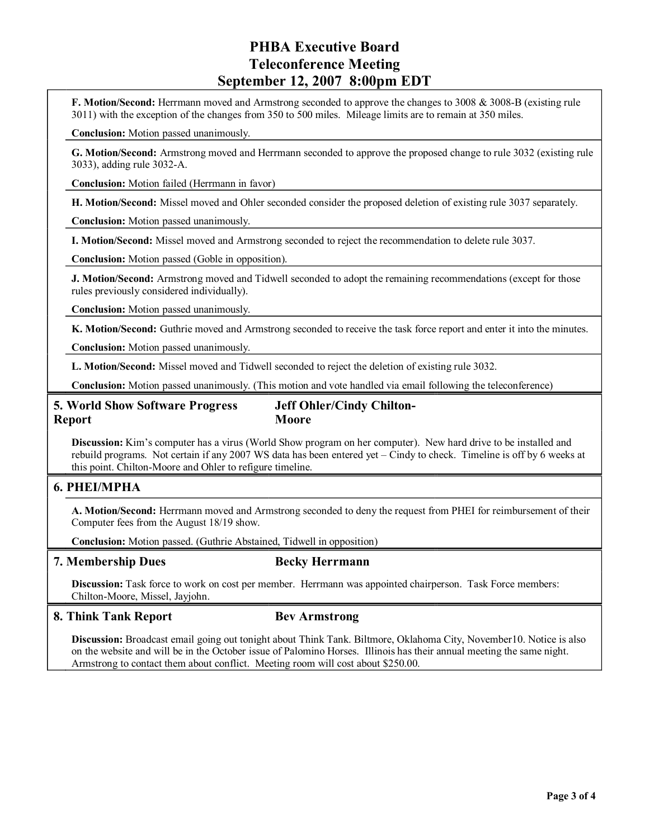**F. Motion/Second:** Herrmann moved and Armstrong seconded to approve the changes to 3008 & 3008-B (existing rule 3011) with the exception of the changes from 350 to 500 miles. Mileage limits are to remain at 350 miles.

**Conclusion:** Motion passed unanimously.

**G. Motion/Second:** Armstrong moved and Herrmann seconded to approve the proposed change to rule 3032 (existing rule 3033), adding rule 3032-A.

**Conclusion:** Motion failed (Herrmann in favor)

**H. Motion/Second:** Missel moved and Ohler seconded consider the proposed deletion of existing rule 3037 separately.

**Conclusion:** Motion passed unanimously.

**I. Motion/Second:** Missel moved and Armstrong seconded to reject the recommendation to delete rule 3037.

**Conclusion:** Motion passed (Goble in opposition).

**J. Motion/Second:** Armstrong moved and Tidwell seconded to adopt the remaining recommendations (except for those rules previously considered individually).

**Conclusion:** Motion passed unanimously.

**K. Motion/Second:** Guthrie moved and Armstrong seconded to receive the task force report and enter it into the minutes.

**Conclusion:** Motion passed unanimously.

**L. Motion/Second:** Missel moved and Tidwell seconded to reject the deletion of existing rule 3032.

**Conclusion:** Motion passed unanimously. (This motion and vote handled via email following the teleconference)

# **5. World Show Software Progress Report**

**Jeff Ohler/Cindy Chilton-Moore**

**Discussion:** Kim's computer has a virus (World Show program on her computer). New hard drive to be installed and rebuild programs. Not certain if any 2007 WS data has been entered yet – Cindy to check. Timeline is off by 6 weeks at this point. Chilton-Moore and Ohler to refigure timeline.

# **6. PHEI/MPHA**

**A. Motion/Second:** Herrmann moved and Armstrong seconded to deny the request from PHEI for reimbursement of their Computer fees from the August 18/19 show.

**Conclusion:** Motion passed. (Guthrie Abstained, Tidwell in opposition)

### **7. Membership Dues Becky Herrmann**

**Discussion:** Task force to work on cost per member. Herrmann was appointed chairperson. Task Force members: Chilton-Moore, Missel, Jayjohn.

# **8. Think Tank Report Bev Armstrong**

**Discussion:** Broadcast email going out tonight about Think Tank. Biltmore, Oklahoma City, November10. Notice is also on the website and will be in the October issue of Palomino Horses. Illinois has their annual meeting the same night. Armstrong to contact them about conflict. Meeting room will cost about \$250.00.